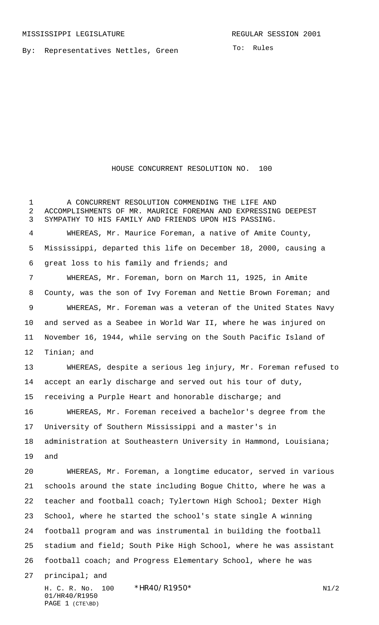By: Representatives Nettles, Green

To: Rules

## HOUSE CONCURRENT RESOLUTION NO. 100

 A CONCURRENT RESOLUTION COMMENDING THE LIFE AND ACCOMPLISHMENTS OF MR. MAURICE FOREMAN AND EXPRESSING DEEPEST SYMPATHY TO HIS FAMILY AND FRIENDS UPON HIS PASSING. WHEREAS, Mr. Maurice Foreman, a native of Amite County, Mississippi, departed this life on December 18, 2000, causing a great loss to his family and friends; and WHEREAS, Mr. Foreman, born on March 11, 1925, in Amite County, was the son of Ivy Foreman and Nettie Brown Foreman; and WHEREAS, Mr. Foreman was a veteran of the United States Navy and served as a Seabee in World War II, where he was injured on November 16, 1944, while serving on the South Pacific Island of Tinian; and WHEREAS, despite a serious leg injury, Mr. Foreman refused to accept an early discharge and served out his tour of duty, receiving a Purple Heart and honorable discharge; and WHEREAS, Mr. Foreman received a bachelor's degree from the University of Southern Mississippi and a master's in 18 administration at Southeastern University in Hammond, Louisiana; and WHEREAS, Mr. Foreman, a longtime educator, served in various schools around the state including Bogue Chitto, where he was a teacher and football coach; Tylertown High School; Dexter High School, where he started the school's state single A winning football program and was instrumental in building the football stadium and field; South Pike High School, where he was assistant football coach; and Progress Elementary School, where he was principal; and

H. C. R. No. 100 \*HR40/R1950\* N1/2 01/HR40/R1950 PAGE 1 (CTE\BD)